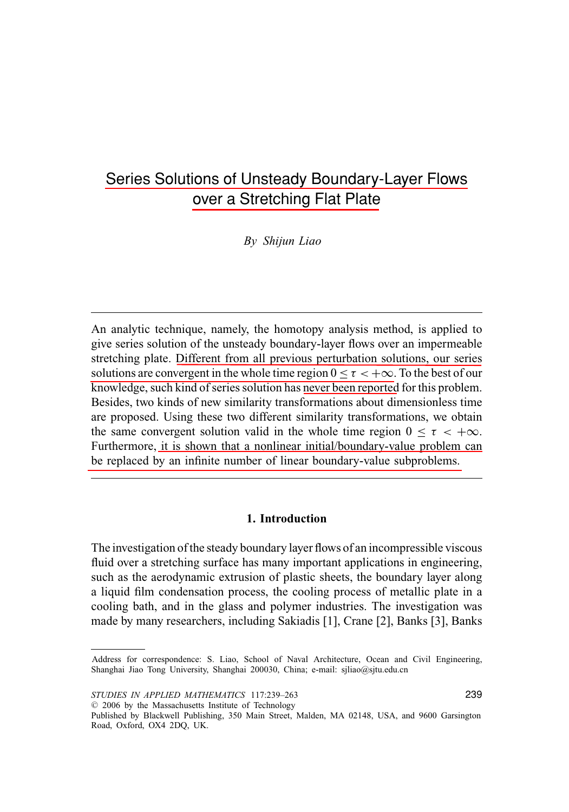# Series Solutions of Unsteady Boundary-Layer Flows over a Stretching Flat Plate

*By Shijun Liao*

An analytic technique, namely, the homotopy analysis method, is applied to give series solution of the unsteady boundary-layer flows over an impermeable stretching plate. Different from all previous perturbation solutions, our series solutions are convergent in the whole time region  $0 \le \tau < +\infty$ . To the best of our knowledge, such kind of series solution has never been reported for this problem. Besides, two kinds of new similarity transformations about dimensionless time are proposed. Using these two different similarity transformations, we obtain the same convergent solution valid in the whole time region  $0 \le \tau < +\infty$ . Furthermore, it is shown that a nonlinear initial/boundary-value problem can be replaced by an infinite number of linear boundary-value subproblems.

## **1. Introduction**

The investigation of the steady boundary layer flows of an incompressible viscous fluid over a stretching surface has many important applications in engineering, such as the aerodynamic extrusion of plastic sheets, the boundary layer along a liquid film condensation process, the cooling process of metallic plate in a cooling bath, and in the glass and polymer industries. The investigation was made by many researchers, including Sakiadis [1], Crane [2], Banks [3], Banks

Address for correspondence: S. Liao, School of Naval Architecture, Ocean and Civil Engineering, Shanghai Jiao Tong University, Shanghai 200030, China; e-mail: sjliao@sjtu.edu.cn

<sup>C</sup> 2006 by the Massachusetts Institute of Technology

Published by Blackwell Publishing, 350 Main Street, Malden, MA 02148, USA, and 9600 Garsington Road, Oxford, OX4 2DQ, UK.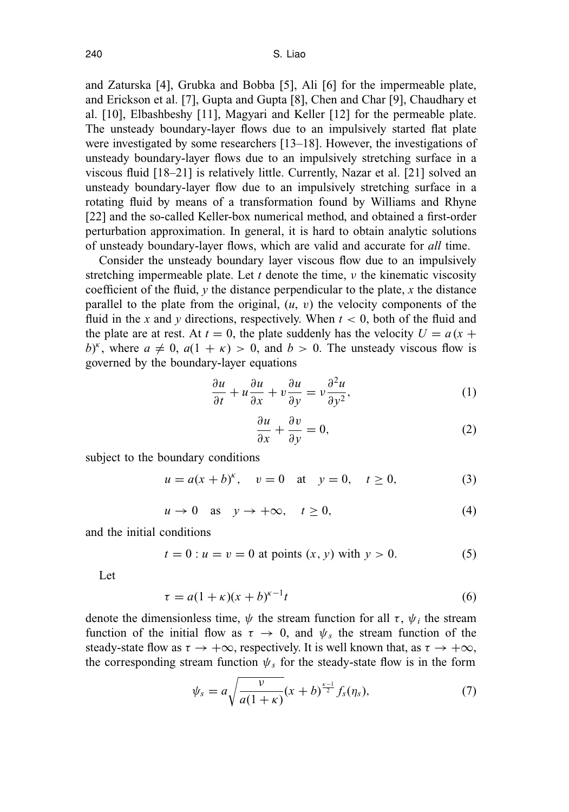and Zaturska [4], Grubka and Bobba [5], Ali [6] for the impermeable plate, and Erickson et al. [7], Gupta and Gupta [8], Chen and Char [9], Chaudhary et al. [10], Elbashbeshy [11], Magyari and Keller [12] for the permeable plate. The unsteady boundary-layer flows due to an impulsively started flat plate were investigated by some researchers [13–18]. However, the investigations of unsteady boundary-layer flows due to an impulsively stretching surface in a viscous fluid [18–21] is relatively little. Currently, Nazar et al. [21] solved an unsteady boundary-layer flow due to an impulsively stretching surface in a rotating fluid by means of a transformation found by Williams and Rhyne [22] and the so-called Keller-box numerical method, and obtained a first-order perturbation approximation. In general, it is hard to obtain analytic solutions of unsteady boundary-layer flows, which are valid and accurate for *all* time.

Consider the unsteady boundary layer viscous flow due to an impulsively stretching impermeable plate. Let *t* denote the time, ν the kinematic viscosity coefficient of the fluid, *y* the distance perpendicular to the plate, *x* the distance parallel to the plate from the original,  $(u, v)$  the velocity components of the fluid in the *x* and *y* directions, respectively. When  $t < 0$ , both of the fluid and the plate are at rest. At  $t = 0$ , the plate suddenly has the velocity  $U = a(x +$ b)<sup> $\kappa$ </sup>, where  $a \neq 0$ ,  $a(1 + \kappa) > 0$ , and  $b > 0$ . The unsteady viscous flow is governed by the boundary-layer equations

$$
\frac{\partial u}{\partial t} + u \frac{\partial u}{\partial x} + v \frac{\partial u}{\partial y} = v \frac{\partial^2 u}{\partial y^2},\tag{1}
$$

$$
\frac{\partial u}{\partial x} + \frac{\partial v}{\partial y} = 0,\tag{2}
$$

subject to the boundary conditions

$$
u = a(x + b)^{\kappa}
$$
,  $v = 0$  at  $y = 0$ ,  $t \ge 0$ , (3)

$$
u \to 0 \quad \text{as} \quad y \to +\infty, \quad t \ge 0,\tag{4}
$$

and the initial conditions

$$
t = 0
$$
:  $u = v = 0$  at points  $(x, y)$  with  $y > 0$ . (5)

Let

$$
\tau = a(1 + \kappa)(x + b)^{\kappa - 1}t
$$
\n(6)

denote the dimensionless time,  $\psi$  the stream function for all  $\tau$ ,  $\psi_i$  the stream function of the initial flow as  $\tau \to 0$ , and  $\psi_s$  the stream function of the steady-state flow as  $\tau \to +\infty$ , respectively. It is well known that, as  $\tau \to +\infty$ , the corresponding stream function  $\psi_s$  for the steady-state flow is in the form

$$
\psi_s = a \sqrt{\frac{\nu}{a(1+\kappa)}} (x+b)^{\frac{\kappa-1}{2}} f_s(\eta_s), \tag{7}
$$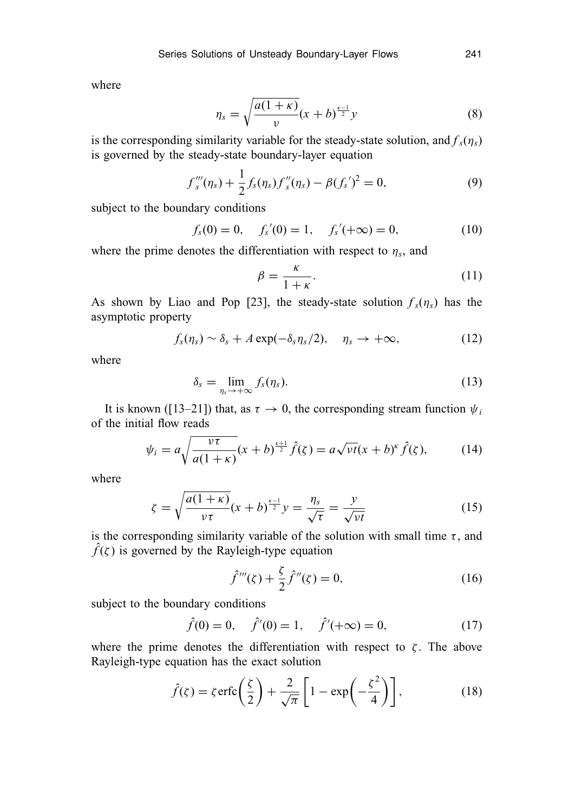where

$$
\eta_s = \sqrt{\frac{a(1+\kappa)}{v}} (x+b)^{\frac{\kappa-1}{2}} y \tag{8}
$$

is the corresponding similarity variable for the steady-state solution, and  $f_s(\eta_s)$ is governed by the steady-state boundary-layer equation

$$
f''_s(\eta_s) + \frac{1}{2} f_s(\eta_s) f''_s(\eta_s) - \beta (f'_s)^2 = 0, \qquad (9)
$$

subject to the boundary conditions

$$
f_s(0) = 0, \quad f_s'(0) = 1, \quad f_s'(+\infty) = 0,
$$
 (10)

where the prime denotes the differentiation with respect to  $\eta_s$ , and

$$
\beta = \frac{\kappa}{1+\kappa}.\tag{11}
$$

As shown by Liao and Pop [23], the steady-state solution  $f_s(\eta_s)$  has the asymptotic property

$$
f_s(\eta_s) \sim \delta_s + A \exp(-\delta_s \eta_s/2), \quad \eta_s \to +\infty,
$$
 (12)

where

$$
\delta_s = \lim_{\eta_s \to +\infty} f_s(\eta_s). \tag{13}
$$

It is known ([13–21]) that, as  $\tau \to 0$ , the corresponding stream function  $\psi_i$ of the initial flow reads

$$
\psi_i = a \sqrt{\frac{\nu \tau}{a(1+\kappa)}} (x+b)^{\frac{\kappa+1}{2}} \hat{f}(\zeta) = a \sqrt{\nu t} (x+b)^{\kappa} \hat{f}(\zeta), \tag{14}
$$

where

$$
\zeta = \sqrt{\frac{a(1+\kappa)}{\nu\tau}}(x+b)^{\frac{\kappa-1}{2}}y = \frac{\eta_s}{\sqrt{\tau}} = \frac{y}{\sqrt{\nu t}}
$$
(15)

is the corresponding similarity variable of the solution with small time  $\tau$ , and  $\hat{f}(\zeta)$  is governed by the Rayleigh-type equation

$$
\hat{f}'''(\zeta) + \frac{\zeta}{2} \hat{f}''(\zeta) = 0, \tag{16}
$$

subject to the boundary conditions

$$
\hat{f}(0) = 0, \quad \hat{f}'(0) = 1, \quad \hat{f}'(+\infty) = 0,
$$
\n(17)

where the prime denotes the differentiation with respect to  $\zeta$ . The above Rayleigh-type equation has the exact solution

$$
\hat{f}(\zeta) = \zeta \operatorname{erfc}\left(\frac{\zeta}{2}\right) + \frac{2}{\sqrt{\pi}} \left[1 - \exp\left(-\frac{\zeta^2}{4}\right)\right],\tag{18}
$$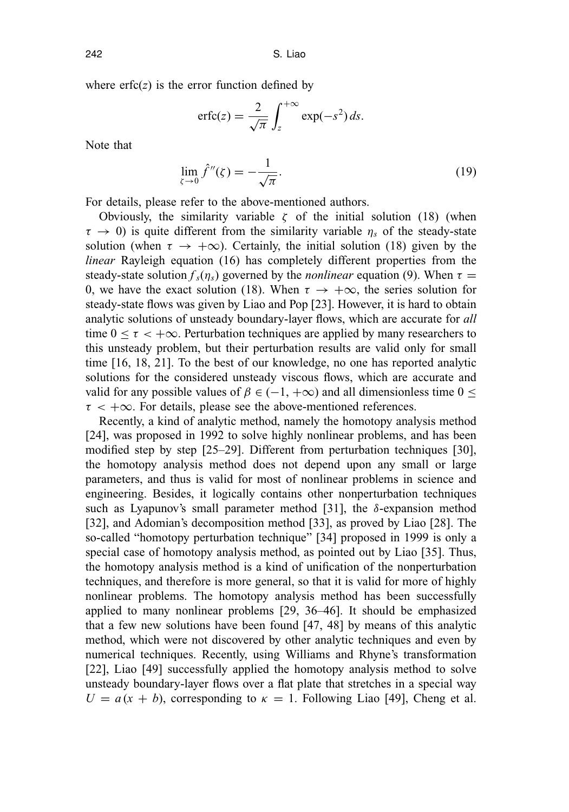where  $erfc(z)$  is the error function defined by

$$
\operatorname{erfc}(z) = \frac{2}{\sqrt{\pi}} \int_{z}^{+\infty} \exp(-s^2) \, ds.
$$

Note that

$$
\lim_{\zeta \to 0} \hat{f}''(\zeta) = -\frac{1}{\sqrt{\pi}}.\tag{19}
$$

For details, please refer to the above-mentioned authors.

Obviously, the similarity variable  $\zeta$  of the initial solution (18) (when  $\tau \to 0$ ) is quite different from the similarity variable  $\eta_s$  of the steady-state solution (when  $\tau \to +\infty$ ). Certainly, the initial solution (18) given by the *linear* Rayleigh equation (16) has completely different properties from the steady-state solution  $f_s(n_s)$  governed by the *nonlinear* equation (9). When  $\tau =$ 0, we have the exact solution (18). When  $\tau \to +\infty$ , the series solution for steady-state flows was given by Liao and Pop [23]. However, it is hard to obtain analytic solutions of unsteady boundary-layer flows, which are accurate for *all* time  $0 \le \tau < +\infty$ . Perturbation techniques are applied by many researchers to this unsteady problem, but their perturbation results are valid only for small time [16, 18, 21]. To the best of our knowledge, no one has reported analytic solutions for the considered unsteady viscous flows, which are accurate and valid for any possible values of  $\beta \in (-1, +\infty)$  and all dimensionless time  $0 \le$  $\tau$  <  $+\infty$ . For details, please see the above-mentioned references.

Recently, a kind of analytic method, namely the homotopy analysis method [24], was proposed in 1992 to solve highly nonlinear problems, and has been modified step by step [25–29]. Different from perturbation techniques [30], the homotopy analysis method does not depend upon any small or large parameters, and thus is valid for most of nonlinear problems in science and engineering. Besides, it logically contains other nonperturbation techniques such as Lyapunov's small parameter method [31], the  $\delta$ -expansion method [32], and Adomian's decomposition method [33], as proved by Liao [28]. The so-called "homotopy perturbation technique" [34] proposed in 1999 is only a special case of homotopy analysis method, as pointed out by Liao [35]. Thus, the homotopy analysis method is a kind of unification of the nonperturbation techniques, and therefore is more general, so that it is valid for more of highly nonlinear problems. The homotopy analysis method has been successfully applied to many nonlinear problems [29, 36–46]. It should be emphasized that a few new solutions have been found [47, 48] by means of this analytic method, which were not discovered by other analytic techniques and even by numerical techniques. Recently, using Williams and Rhyne's transformation [22], Liao [49] successfully applied the homotopy analysis method to solve unsteady boundary-layer flows over a flat plate that stretches in a special way  $U = a(x + b)$ , corresponding to  $\kappa = 1$ . Following Liao [49], Cheng et al.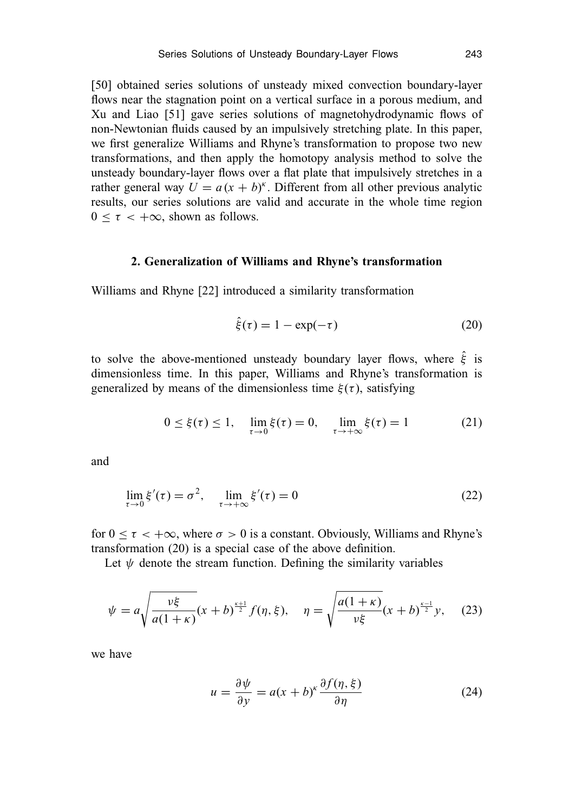[50] obtained series solutions of unsteady mixed convection boundary-layer flows near the stagnation point on a vertical surface in a porous medium, and Xu and Liao [51] gave series solutions of magnetohydrodynamic flows of non-Newtonian fluids caused by an impulsively stretching plate. In this paper, we first generalize Williams and Rhyne's transformation to propose two new transformations, and then apply the homotopy analysis method to solve the unsteady boundary-layer flows over a flat plate that impulsively stretches in a rather general way  $U = a(x + b)^{k}$ . Different from all other previous analytic results, our series solutions are valid and accurate in the whole time region  $0 \leq \tau \leq +\infty$ , shown as follows.

## **2. Generalization of Williams and Rhyne's transformation**

Williams and Rhyne [22] introduced a similarity transformation

$$
\hat{\xi}(\tau) = 1 - \exp(-\tau) \tag{20}
$$

to solve the above-mentioned unsteady boundary layer flows, where  $\hat{\xi}$  is dimensionless time. In this paper, Williams and Rhyne's transformation is generalized by means of the dimensionless time  $\xi(\tau)$ , satisfying

$$
0 \le \xi(\tau) \le 1
$$
,  $\lim_{\tau \to 0} \xi(\tau) = 0$ ,  $\lim_{\tau \to +\infty} \xi(\tau) = 1$  (21)

and

$$
\lim_{\tau \to 0} \xi'(\tau) = \sigma^2, \quad \lim_{\tau \to +\infty} \xi'(\tau) = 0
$$
\n(22)

for  $0 \le \tau < +\infty$ , where  $\sigma > 0$  is a constant. Obviously, Williams and Rhyne's transformation (20) is a special case of the above definition.

Let  $\psi$  denote the stream function. Defining the similarity variables

$$
\psi = a \sqrt{\frac{v\xi}{a(1+\kappa)}} (x+b)^{\frac{\kappa+1}{2}} f(\eta,\xi), \quad \eta = \sqrt{\frac{a(1+\kappa)}{v\xi}} (x+b)^{\frac{\kappa-1}{2}} y, \quad (23)
$$

we have

$$
u = \frac{\partial \psi}{\partial y} = a(x+b)^{\kappa} \frac{\partial f(\eta, \xi)}{\partial \eta}
$$
 (24)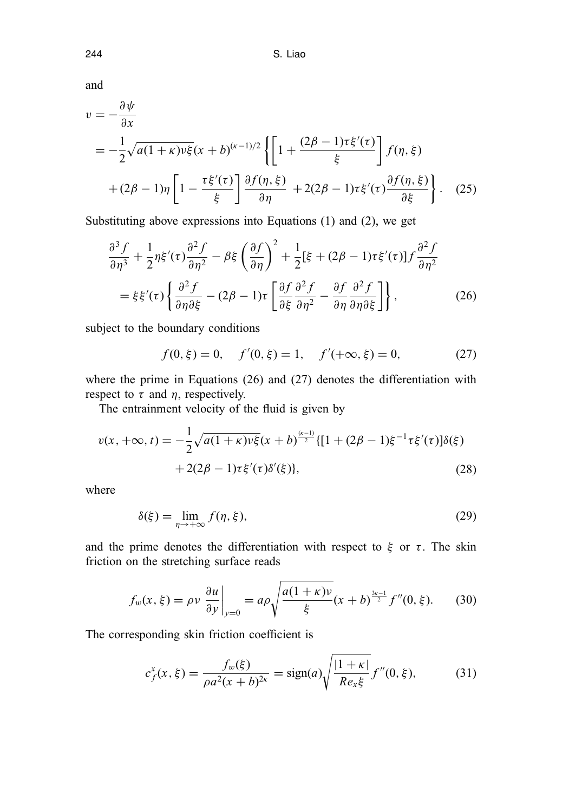and

$$
v = -\frac{\partial \psi}{\partial x}
$$
  
=  $-\frac{1}{2}\sqrt{a(1+\kappa)v\xi}(x+b)^{(\kappa-1)/2} \left\{ \left[ 1 + \frac{(2\beta-1)\tau\xi'(\tau)}{\xi} \right] f(\eta,\xi) + (2\beta-1)\eta \left[ 1 - \frac{\tau\xi'(\tau)}{\xi} \right] \frac{\partial f(\eta,\xi)}{\partial \eta} + 2(2\beta-1)\tau\xi'(\tau)\frac{\partial f(\eta,\xi)}{\partial \xi} \right\}.$  (25)

Substituting above expressions into Equations (1) and (2), we get

$$
\frac{\partial^3 f}{\partial \eta^3} + \frac{1}{2} \eta \xi'(\tau) \frac{\partial^2 f}{\partial \eta^2} - \beta \xi \left(\frac{\partial f}{\partial \eta}\right)^2 + \frac{1}{2} [\xi + (2\beta - 1)\tau \xi'(\tau)] f \frac{\partial^2 f}{\partial \eta^2}
$$
  
=  $\xi \xi'(\tau) \left\{ \frac{\partial^2 f}{\partial \eta \partial \xi} - (2\beta - 1)\tau \left[ \frac{\partial f}{\partial \xi} \frac{\partial^2 f}{\partial \eta^2} - \frac{\partial f}{\partial \eta} \frac{\partial^2 f}{\partial \eta \partial \xi} \right] \right\},$  (26)

subject to the boundary conditions

$$
f(0,\xi) = 0, \quad f'(0,\xi) = 1, \quad f'(+\infty,\xi) = 0,
$$
 (27)

where the prime in Equations (26) and (27) denotes the differentiation with respect to  $\tau$  and  $\eta$ , respectively.

The entrainment velocity of the fluid is given by

$$
v(x, +\infty, t) = -\frac{1}{2}\sqrt{a(1+\kappa)v\xi}(x+b)^{\frac{(\kappa-1)}{2}}\{[1+(2\beta-1)\xi^{-1}\tau\xi'(\tau)]\delta(\xi) + 2(2\beta-1)\tau\xi'(\tau)\delta'(\xi)\},
$$
\n(28)

where

$$
\delta(\xi) = \lim_{\eta \to +\infty} f(\eta, \xi),\tag{29}
$$

and the prime denotes the differentiation with respect to  $\xi$  or  $\tau$ . The skin friction on the stretching surface reads

$$
f_w(x,\xi) = \rho v \left. \frac{\partial u}{\partial y} \right|_{y=0} = a\rho \sqrt{\frac{a(1+\kappa)v}{\xi}} (x+b)^{\frac{3\kappa-1}{2}} f''(0,\xi). \tag{30}
$$

The corresponding skin friction coefficient is

$$
c_f^x(x,\xi) = \frac{f_w(\xi)}{\rho a^2 (x+b)^{2\kappa}} = \text{sign}(a) \sqrt{\frac{|1+\kappa|}{Re_x \xi}} f''(0,\xi),\tag{31}
$$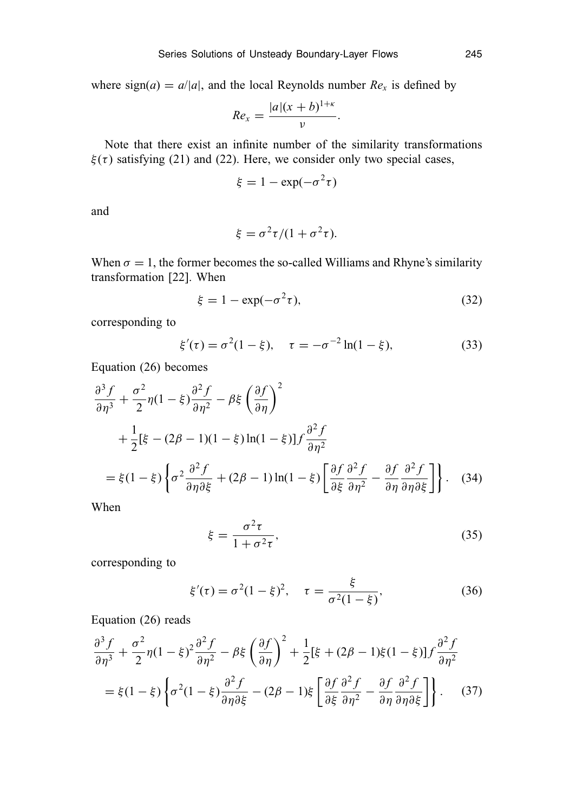where  $sign(a) = a/|a|$ , and the local Reynolds number  $Re<sub>x</sub>$  is defined by

$$
Re_x=\frac{|a|(x+b)^{1+\kappa}}{\nu}.
$$

Note that there exist an infinite number of the similarity transformations  $\xi(\tau)$  satisfying (21) and (22). Here, we consider only two special cases,

$$
\xi = 1 - \exp(-\sigma^2 \tau)
$$

and

$$
\xi = \sigma^2 \tau / (1 + \sigma^2 \tau).
$$

When  $\sigma = 1$ , the former becomes the so-called Williams and Rhyne's similarity transformation [22]. When

$$
\xi = 1 - \exp(-\sigma^2 \tau),\tag{32}
$$

corresponding to

$$
\xi'(\tau) = \sigma^2(1 - \xi), \quad \tau = -\sigma^{-2}\ln(1 - \xi),
$$
 (33)

Equation (26) becomes

$$
\frac{\partial^3 f}{\partial \eta^3} + \frac{\sigma^2}{2} \eta (1 - \xi) \frac{\partial^2 f}{\partial \eta^2} - \beta \xi \left( \frac{\partial f}{\partial \eta} \right)^2 \n+ \frac{1}{2} [\xi - (2\beta - 1)(1 - \xi) \ln(1 - \xi)] f \frac{\partial^2 f}{\partial \eta^2} \n= \xi (1 - \xi) \left\{ \sigma^2 \frac{\partial^2 f}{\partial \eta \partial \xi} + (2\beta - 1) \ln(1 - \xi) \left[ \frac{\partial f}{\partial \xi} \frac{\partial^2 f}{\partial \eta^2} - \frac{\partial f}{\partial \eta} \frac{\partial^2 f}{\partial \eta \partial \xi} \right] \right\}.
$$
\n(34)

When

$$
\xi = \frac{\sigma^2 \tau}{1 + \sigma^2 \tau},\tag{35}
$$

corresponding to

$$
\xi'(\tau) = \sigma^2 (1 - \xi)^2, \quad \tau = \frac{\xi}{\sigma^2 (1 - \xi)},
$$
\n(36)

Equation (26) reads

$$
\frac{\partial^3 f}{\partial \eta^3} + \frac{\sigma^2}{2} \eta (1 - \xi)^2 \frac{\partial^2 f}{\partial \eta^2} - \beta \xi \left(\frac{\partial f}{\partial \eta}\right)^2 + \frac{1}{2} [\xi + (2\beta - 1)\xi (1 - \xi)] f \frac{\partial^2 f}{\partial \eta^2}
$$
  
=  $\xi (1 - \xi) \left\{ \sigma^2 (1 - \xi) \frac{\partial^2 f}{\partial \eta \partial \xi} - (2\beta - 1)\xi \left[ \frac{\partial f}{\partial \xi} \frac{\partial^2 f}{\partial \eta^2} - \frac{\partial f}{\partial \eta} \frac{\partial^2 f}{\partial \eta \partial \xi} \right] \right\}.$  (37)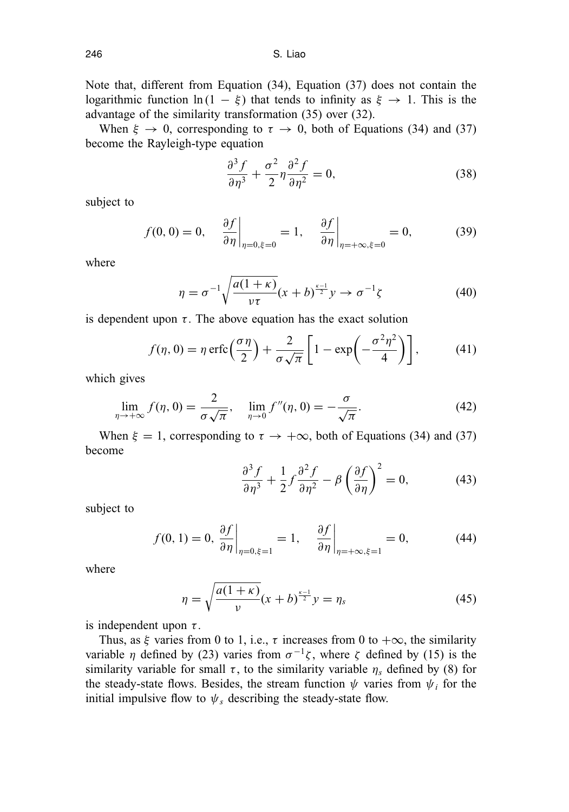Note that, different from Equation (34), Equation (37) does not contain the logarithmic function  $\ln(1 - \xi)$  that tends to infinity as  $\xi \to 1$ . This is the advantage of the similarity transformation (35) over (32).

When  $\xi \to 0$ , corresponding to  $\tau \to 0$ , both of Equations (34) and (37) become the Rayleigh-type equation

$$
\frac{\partial^3 f}{\partial \eta^3} + \frac{\sigma^2}{2} \eta \frac{\partial^2 f}{\partial \eta^2} = 0,
$$
 (38)

subject to

$$
f(0, 0) = 0, \quad \left. \frac{\partial f}{\partial \eta} \right|_{\eta = 0, \xi = 0} = 1, \quad \left. \frac{\partial f}{\partial \eta} \right|_{\eta = +\infty, \xi = 0} = 0, \quad (39)
$$

where

$$
\eta = \sigma^{-1} \sqrt{\frac{a(1+\kappa)}{\nu \tau}} (x+b)^{\frac{\kappa-1}{2}} y \to \sigma^{-1} \zeta
$$
 (40)

is dependent upon  $\tau$ . The above equation has the exact solution

$$
f(\eta, 0) = \eta \operatorname{erfc}\left(\frac{\sigma \eta}{2}\right) + \frac{2}{\sigma \sqrt{\pi}} \left[1 - \exp\left(-\frac{\sigma^2 \eta^2}{4}\right)\right],\tag{41}
$$

which gives

$$
\lim_{\eta \to +\infty} f(\eta, 0) = \frac{2}{\sigma \sqrt{\pi}}, \quad \lim_{\eta \to 0} f''(\eta, 0) = -\frac{\sigma}{\sqrt{\pi}}.
$$
 (42)

When  $\xi = 1$ , corresponding to  $\tau \to +\infty$ , both of Equations (34) and (37) become

$$
\frac{\partial^3 f}{\partial \eta^3} + \frac{1}{2} f \frac{\partial^2 f}{\partial \eta^2} - \beta \left( \frac{\partial f}{\partial \eta} \right)^2 = 0, \tag{43}
$$

subject to

$$
f(0, 1) = 0, \left. \frac{\partial f}{\partial \eta} \right|_{\eta = 0, \xi = 1} = 1, \quad \left. \frac{\partial f}{\partial \eta} \right|_{\eta = +\infty, \xi = 1} = 0, \quad (44)
$$

where

$$
\eta = \sqrt{\frac{a(1+\kappa)}{\nu}} (x+b)^{\frac{\kappa-1}{2}} y = \eta_s \tag{45}
$$

is independent upon  $\tau$ .

Thus, as  $\xi$  varies from 0 to 1, i.e.,  $\tau$  increases from 0 to  $+\infty$ , the similarity variable  $\eta$  defined by (23) varies from  $\sigma^{-1}\zeta$ , where  $\zeta$  defined by (15) is the similarity variable for small  $\tau$ , to the similarity variable  $\eta_s$  defined by (8) for the steady-state flows. Besides, the stream function  $\psi$  varies from  $\psi_i$  for the initial impulsive flow to  $\psi_s$  describing the steady-state flow.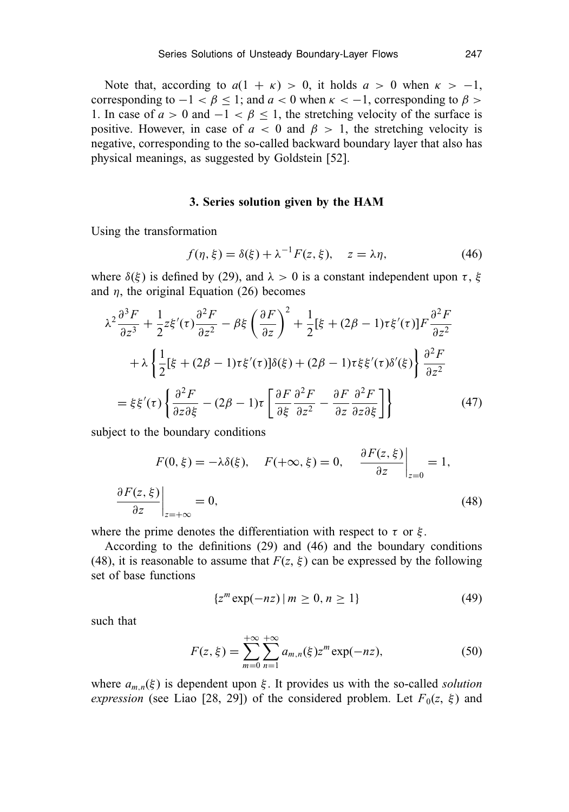Note that, according to  $a(1 + \kappa) > 0$ , it holds  $a > 0$  when  $\kappa > -1$ , corresponding to  $-1 < \beta < 1$ ; and  $a < 0$  when  $\kappa < -1$ , corresponding to  $\beta >$ 1. In case of  $a > 0$  and  $-1 < \beta \le 1$ , the stretching velocity of the surface is positive. However, in case of  $a < 0$  and  $\beta > 1$ , the stretching velocity is negative, corresponding to the so-called backward boundary layer that also has physical meanings, as suggested by Goldstein [52].

### **3. Series solution given by the HAM**

Using the transformation

$$
f(\eta, \xi) = \delta(\xi) + \lambda^{-1} F(z, \xi), \quad z = \lambda \eta,
$$
 (46)

where  $\delta(\xi)$  is defined by (29), and  $\lambda > 0$  is a constant independent upon  $\tau$ ,  $\xi$ and  $\eta$ , the original Equation (26) becomes

$$
\lambda^{2} \frac{\partial^{3} F}{\partial z^{3}} + \frac{1}{2} z \xi'(\tau) \frac{\partial^{2} F}{\partial z^{2}} - \beta \xi \left(\frac{\partial F}{\partial z}\right)^{2} + \frac{1}{2} [\xi + (2\beta - 1)\tau \xi'(\tau)] F \frac{\partial^{2} F}{\partial z^{2}}
$$

$$
+ \lambda \left\{ \frac{1}{2} [\xi + (2\beta - 1)\tau \xi'(\tau)] \delta(\xi) + (2\beta - 1)\tau \xi \xi'(\tau) \delta'(\xi) \right\} \frac{\partial^{2} F}{\partial z^{2}}
$$

$$
= \xi \xi'(\tau) \left\{ \frac{\partial^{2} F}{\partial z \partial \xi} - (2\beta - 1)\tau \left[ \frac{\partial F}{\partial \xi} \frac{\partial^{2} F}{\partial z^{2}} - \frac{\partial F}{\partial z} \frac{\partial^{2} F}{\partial z \partial \xi} \right] \right\}
$$
(47)

subject to the boundary conditions

$$
F(0,\xi) = -\lambda \delta(\xi), \quad F(+\infty,\xi) = 0, \quad \frac{\partial F(z,\xi)}{\partial z}\Big|_{z=0} = 1,
$$
  

$$
\frac{\partial F(z,\xi)}{\partial z}\Big|_{z=+\infty} = 0,
$$
 (48)

where the prime denotes the differentiation with respect to  $\tau$  or  $\xi$ .

According to the definitions (29) and (46) and the boundary conditions (48), it is reasonable to assume that  $F(z, \xi)$  can be expressed by the following set of base functions

$$
\{z^m \exp(-nz) \, | \, m \ge 0, n \ge 1\} \tag{49}
$$

such that

$$
F(z,\xi) = \sum_{m=0}^{+\infty} \sum_{n=1}^{+\infty} a_{m,n}(\xi) z^m \exp(-nz),
$$
 (50)

where  $a_{m,n}(\xi)$  is dependent upon  $\xi$ . It provides us with the so-called *solution expression* (see Liao [28, 29]) of the considered problem. Let  $F_0(z, \xi)$  and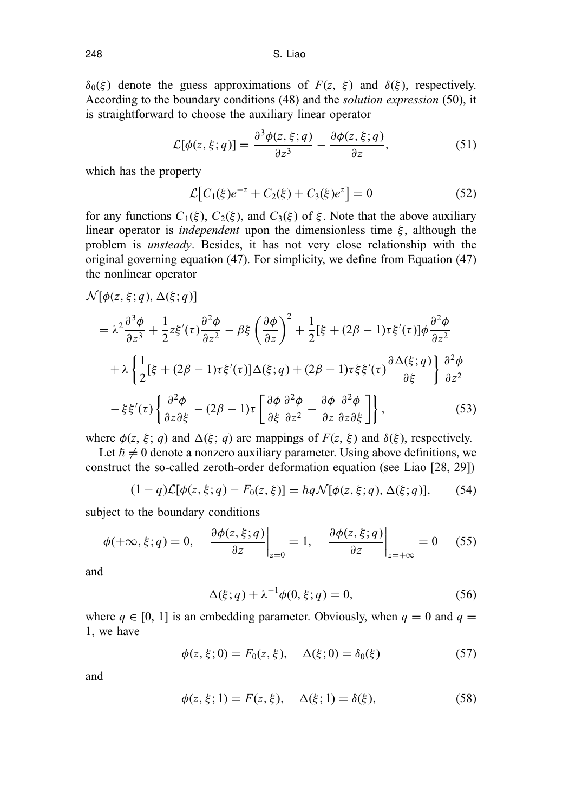248 S. Liao

 $\delta_0(\xi)$  denote the guess approximations of  $F(z, \xi)$  and  $\delta(\xi)$ , respectively. According to the boundary conditions (48) and the *solution expression* (50), it is straightforward to choose the auxiliary linear operator

$$
\mathcal{L}[\phi(z,\xi;q)] = \frac{\partial^3 \phi(z,\xi;q)}{\partial z^3} - \frac{\partial \phi(z,\xi;q)}{\partial z},\tag{51}
$$

which has the property

$$
\mathcal{L}[C_1(\xi)e^{-z} + C_2(\xi) + C_3(\xi)e^{z}] = 0 \qquad (52)
$$

for any functions  $C_1(\xi)$ ,  $C_2(\xi)$ , and  $C_3(\xi)$  of  $\xi$ . Note that the above auxiliary linear operator is *independent* upon the dimensionless time ξ , although the problem is *unsteady*. Besides, it has not very close relationship with the original governing equation (47). For simplicity, we define from Equation (47) the nonlinear operator

$$
\mathcal{N}[\phi(z,\xi;q),\Delta(\xi;q)]
$$
\n
$$
= \lambda^2 \frac{\partial^3 \phi}{\partial z^3} + \frac{1}{2} z \xi'(\tau) \frac{\partial^2 \phi}{\partial z^2} - \beta \xi \left(\frac{\partial \phi}{\partial z}\right)^2 + \frac{1}{2} [\xi + (2\beta - 1)\tau \xi'(\tau)] \phi \frac{\partial^2 \phi}{\partial z^2}
$$
\n
$$
+ \lambda \left\{ \frac{1}{2} [\xi + (2\beta - 1)\tau \xi'(\tau)] \Delta(\xi;q) + (2\beta - 1)\tau \xi \xi'(\tau) \frac{\partial \Delta(\xi;q)}{\partial \xi} \right\} \frac{\partial^2 \phi}{\partial z^2}
$$
\n
$$
- \xi \xi'(\tau) \left\{ \frac{\partial^2 \phi}{\partial z \partial \xi} - (2\beta - 1)\tau \left[ \frac{\partial \phi}{\partial \xi} \frac{\partial^2 \phi}{\partial z^2} - \frac{\partial \phi}{\partial z} \frac{\partial^2 \phi}{\partial z \partial \xi} \right] \right\},
$$
\n(53)

where  $\phi(z, \xi; q)$  and  $\Delta(\xi; q)$  are mappings of  $F(z, \xi)$  and  $\delta(\xi)$ , respectively.

Let  $\hbar \neq 0$  denote a nonzero auxiliary parameter. Using above definitions, we construct the so-called zeroth-order deformation equation (see Liao [28, 29])

$$
(1-q)\mathcal{L}[\phi(z,\xi;q) - F_0(z,\xi)] = \hbar q \mathcal{N}[\phi(z,\xi;q), \Delta(\xi;q)],\qquad(54)
$$

subject to the boundary conditions

$$
\phi(+\infty, \xi; q) = 0, \quad \frac{\partial \phi(z, \xi; q)}{\partial z}\bigg|_{z=0} = 1, \quad \frac{\partial \phi(z, \xi; q)}{\partial z}\bigg|_{z=\pm\infty} = 0 \quad (55)
$$

and

$$
\Delta(\xi; q) + \lambda^{-1} \phi(0, \xi; q) = 0,\tag{56}
$$

where  $q \in [0, 1]$  is an embedding parameter. Obviously, when  $q = 0$  and  $q =$ 1, we have

$$
\phi(z,\xi;0) = F_0(z,\xi), \quad \Delta(\xi;0) = \delta_0(\xi) \tag{57}
$$

and

$$
\phi(z,\xi;1) = F(z,\xi), \quad \Delta(\xi;1) = \delta(\xi), \tag{58}
$$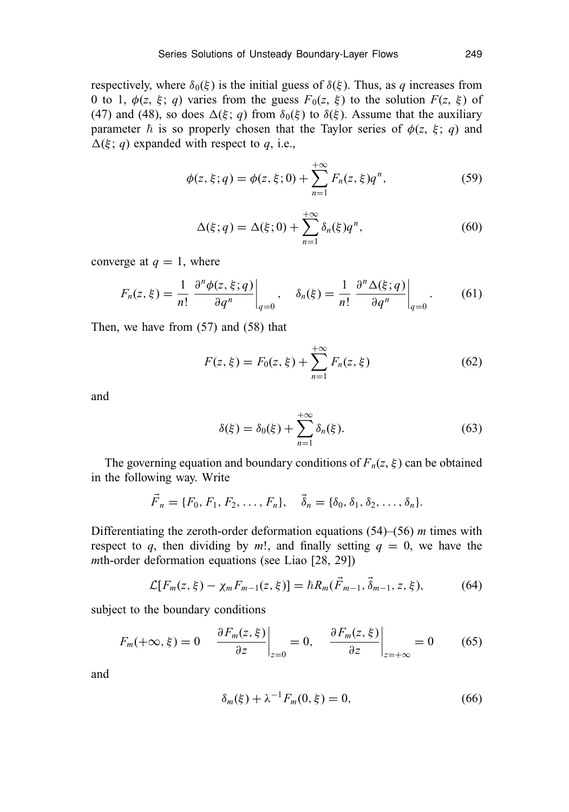respectively, where  $\delta_0(\xi)$  is the initial guess of  $\delta(\xi)$ . Thus, as *q* increases from 0 to 1,  $\phi(z, \xi; q)$  varies from the guess  $F_0(z, \xi)$  to the solution  $F(z, \xi)$  of (47) and (48), so does  $\Delta(\xi; q)$  from  $\delta_0(\xi)$  to  $\delta(\xi)$ . Assume that the auxiliary parameter  $\hbar$  is so properly chosen that the Taylor series of  $\phi(z, \xi; q)$  and  $\Delta(\xi; q)$  expanded with respect to q, i.e.,

$$
\phi(z,\xi;q) = \phi(z,\xi;0) + \sum_{n=1}^{+\infty} F_n(z,\xi)q^n,
$$
\n(59)

$$
\Delta(\xi; q) = \Delta(\xi; 0) + \sum_{n=1}^{+\infty} \delta_n(\xi) q^n, \tag{60}
$$

converge at  $q = 1$ , where

$$
F_n(z,\xi) = \frac{1}{n!} \left. \frac{\partial^n \phi(z,\xi;q)}{\partial q^n} \right|_{q=0}, \quad \delta_n(\xi) = \frac{1}{n!} \left. \frac{\partial^n \Delta(\xi;q)}{\partial q^n} \right|_{q=0}.
$$
 (61)

Then, we have from (57) and (58) that

$$
F(z,\xi) = F_0(z,\xi) + \sum_{n=1}^{+\infty} F_n(z,\xi)
$$
 (62)

and

$$
\delta(\xi) = \delta_0(\xi) + \sum_{n=1}^{+\infty} \delta_n(\xi). \tag{63}
$$

The governing equation and boundary conditions of  $F_n(z, \xi)$  can be obtained in the following way. Write

$$
\vec{F}_n = \{F_0, F_1, F_2, \ldots, F_n\}, \quad \vec{\delta}_n = \{\delta_0, \delta_1, \delta_2, \ldots, \delta_n\}.
$$

Differentiating the zeroth-order deformation equations (54)–(56) *m* times with respect to *q*, then dividing by *m*!, and finally setting  $q = 0$ , we have the *m*th-order deformation equations (see Liao [28, 29])

$$
\mathcal{L}[F_m(z,\xi) - \chi_m F_{m-1}(z,\xi)] = \hbar R_m(\vec{F}_{m-1}, \vec{\delta}_{m-1}, z, \xi), \tag{64}
$$

subject to the boundary conditions

$$
F_m(+\infty,\xi) = 0 \quad \left. \frac{\partial F_m(z,\xi)}{\partial z} \right|_{z=0} = 0, \quad \left. \frac{\partial F_m(z,\xi)}{\partial z} \right|_{z=+\infty} = 0 \quad (65)
$$

and

$$
\delta_m(\xi) + \lambda^{-1} F_m(0, \xi) = 0, \tag{66}
$$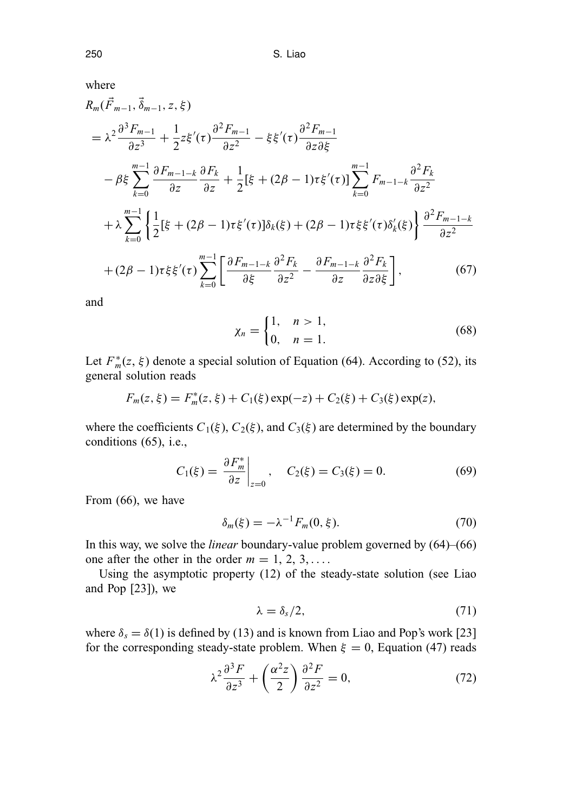where

$$
R_{m}(\vec{F}_{m-1}, \vec{\delta}_{m-1}, z, \xi)
$$
\n
$$
= \lambda^{2} \frac{\partial^{3} F_{m-1}}{\partial z^{3}} + \frac{1}{2} z \xi'(\tau) \frac{\partial^{2} F_{m-1}}{\partial z^{2}} - \xi \xi'(\tau) \frac{\partial^{2} F_{m-1}}{\partial z \partial \xi}
$$
\n
$$
- \beta \xi \sum_{k=0}^{m-1} \frac{\partial F_{m-1-k}}{\partial z} \frac{\partial F_{k}}{\partial z} + \frac{1}{2} [\xi + (2\beta - 1)\tau \xi'(\tau)] \sum_{k=0}^{m-1} F_{m-1-k} \frac{\partial^{2} F_{k}}{\partial z^{2}}
$$
\n
$$
+ \lambda \sum_{k=0}^{m-1} \left\{ \frac{1}{2} [\xi + (2\beta - 1)\tau \xi'(\tau)] \delta_{k}(\xi) + (2\beta - 1)\tau \xi \xi'(\tau) \delta'_{k}(\xi) \right\} \frac{\partial^{2} F_{m-1-k}}{\partial z^{2}}
$$
\n
$$
+ (2\beta - 1)\tau \xi \xi'(\tau) \sum_{k=0}^{m-1} \left[ \frac{\partial F_{m-1-k}}{\partial \xi} \frac{\partial^{2} F_{k}}{\partial z^{2}} - \frac{\partial F_{m-1-k}}{\partial z} \frac{\partial^{2} F_{k}}{\partial z \partial \xi} \right],
$$
\n(67)

and

$$
\chi_n = \begin{cases} 1, & n > 1, \\ 0, & n = 1. \end{cases} \tag{68}
$$

Let  $F_m^*(z, \xi)$  denote a special solution of Equation (64). According to (52), its general solution reads

$$
F_m(z,\xi) = F_m^*(z,\xi) + C_1(\xi) \exp(-z) + C_2(\xi) + C_3(\xi) \exp(z),
$$

where the coefficients  $C_1(\xi)$ ,  $C_2(\xi)$ , and  $C_3(\xi)$  are determined by the boundary conditions (65), i.e.,

$$
C_1(\xi) = \left. \frac{\partial F_m^*}{\partial z} \right|_{z=0}, \quad C_2(\xi) = C_3(\xi) = 0. \tag{69}
$$

From (66), we have

$$
\delta_m(\xi) = -\lambda^{-1} F_m(0, \xi). \tag{70}
$$

In this way, we solve the *linear* boundary-value problem governed by (64)–(66) one after the other in the order  $m = 1, 2, 3, \ldots$ .

Using the asymptotic property (12) of the steady-state solution (see Liao and Pop [23]), we

$$
\lambda = \delta_s / 2, \tag{71}
$$

where  $\delta_s = \delta(1)$  is defined by (13) and is known from Liao and Pop's work [23] for the corresponding steady-state problem. When  $\xi = 0$ , Equation (47) reads

$$
\lambda^2 \frac{\partial^3 F}{\partial z^3} + \left(\frac{\alpha^2 z}{2}\right) \frac{\partial^2 F}{\partial z^2} = 0, \tag{72}
$$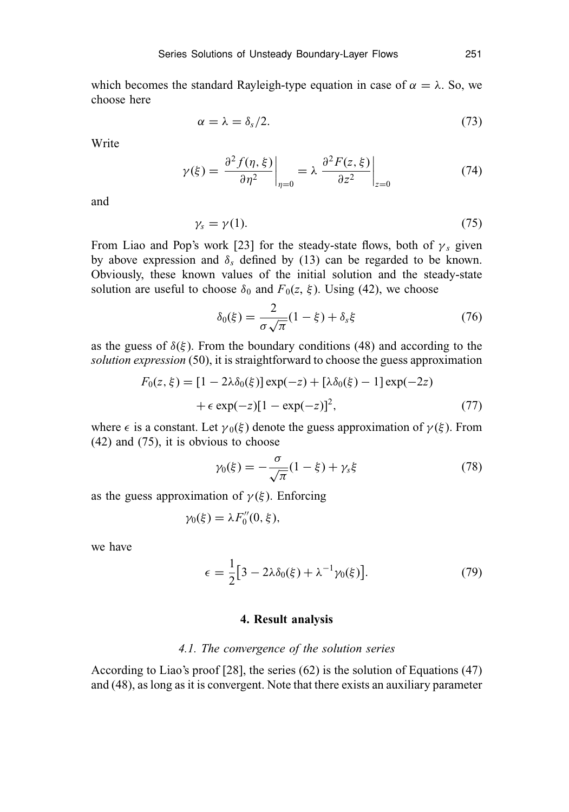which becomes the standard Rayleigh-type equation in case of  $\alpha = \lambda$ . So, we choose here

$$
\alpha = \lambda = \delta_s / 2. \tag{73}
$$

Write

$$
\gamma(\xi) = \left. \frac{\partial^2 f(\eta, \xi)}{\partial \eta^2} \right|_{\eta=0} = \lambda \left. \frac{\partial^2 F(z, \xi)}{\partial z^2} \right|_{z=0} \tag{74}
$$

and

$$
\gamma_s = \gamma(1). \tag{75}
$$

From Liao and Pop's work [23] for the steady-state flows, both of  $\gamma_s$  given by above expression and  $\delta_s$  defined by (13) can be regarded to be known. Obviously, these known values of the initial solution and the steady-state solution are useful to choose  $\delta_0$  and  $F_0(z, \xi)$ . Using (42), we choose

$$
\delta_0(\xi) = \frac{2}{\sigma\sqrt{\pi}}(1-\xi) + \delta_s\xi\tag{76}
$$

as the guess of  $\delta(\xi)$ . From the boundary conditions (48) and according to the *solution expression* (50), it is straightforward to choose the guess approximation

$$
F_0(z, \xi) = [1 - 2\lambda \delta_0(\xi)] \exp(-z) + [\lambda \delta_0(\xi) - 1] \exp(-2z) + \epsilon \exp(-z)[1 - \exp(-z)]^2,
$$
 (77)

where  $\epsilon$  is a constant. Let  $\gamma_0(\xi)$  denote the guess approximation of  $\gamma(\xi)$ . From (42) and (75), it is obvious to choose

$$
\gamma_0(\xi) = -\frac{\sigma}{\sqrt{\pi}}(1-\xi) + \gamma_s \xi \tag{78}
$$

as the guess approximation of  $\gamma(\xi)$ . Enforcing

$$
\gamma_0(\xi) = \lambda F_0''(0, \xi),
$$

we have

$$
\epsilon = \frac{1}{2} \big[ 3 - 2\lambda \delta_0(\xi) + \lambda^{-1} \gamma_0(\xi) \big]. \tag{79}
$$

### **4. Result analysis**

#### *4.1. The convergence of the solution series*

According to Liao's proof [28], the series (62) is the solution of Equations (47) and (48), as long as it is convergent. Note that there exists an auxiliary parameter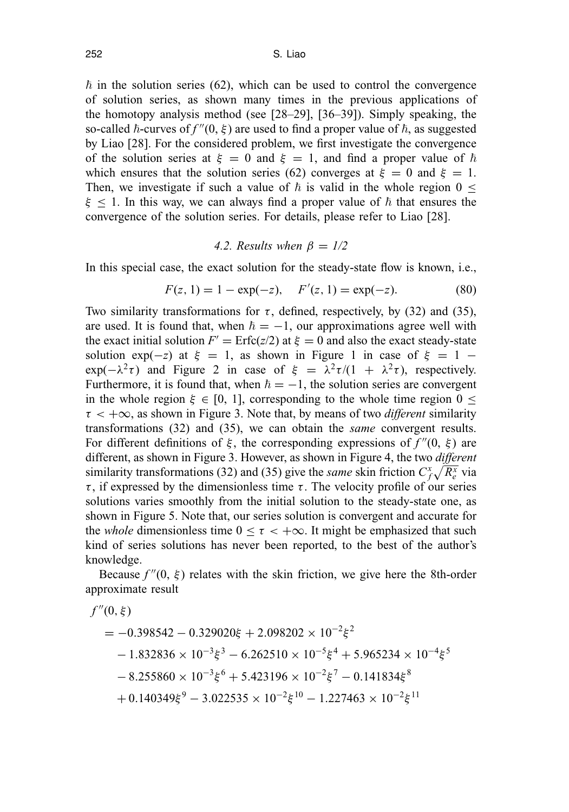$\hbar$  in the solution series (62), which can be used to control the convergence of solution series, as shown many times in the previous applications of the homotopy analysis method (see [28–29], [36–39]). Simply speaking, the so-called  $\hbar$ -curves of  $f''(0, \xi)$  are used to find a proper value of  $\hbar$ , as suggested by Liao [28]. For the considered problem, we first investigate the convergence of the solution series at  $\xi = 0$  and  $\xi = 1$ , and find a proper value of  $\hbar$ which ensures that the solution series (62) converges at  $\xi = 0$  and  $\xi = 1$ . Then, we investigate if such a value of  $\hbar$  is valid in the whole region  $0 \leq$  $\xi \leq 1$ . In this way, we can always find a proper value of  $\hbar$  that ensures the convergence of the solution series. For details, please refer to Liao [28].

## *4.2. Results when*  $\beta = 1/2$

In this special case, the exact solution for the steady-state flow is known, i.e.,

$$
F(z, 1) = 1 - \exp(-z), \quad F'(z, 1) = \exp(-z). \tag{80}
$$

Two similarity transformations for  $\tau$ , defined, respectively, by (32) and (35), are used. It is found that, when  $\hbar = -1$ , our approximations agree well with the exact initial solution  $F' = \text{Erfc}(z/2)$  at  $\xi = 0$  and also the exact steady-state solution  $\exp(-z)$  at  $\xi = 1$ , as shown in Figure 1 in case of  $\xi = 1$  –  $\exp(-\lambda^2 \tau)$  and Figure 2 in case of  $\xi = \lambda^2 \tau/(1 + \lambda^2 \tau)$ , respectively. Furthermore, it is found that, when  $\hbar = -1$ , the solution series are convergent in the whole region  $\xi \in [0, 1]$ , corresponding to the whole time region  $0 \le$  $\tau$  <  $+\infty$ , as shown in Figure 3. Note that, by means of two *different* similarity transformations (32) and (35), we can obtain the *same* convergent results. For different definitions of  $\xi$ , the corresponding expressions of  $f''(0, \xi)$  are different, as shown in Figure 3. However, as shown in Figure 4, the two *different* similarity transformations (32) and (35) give the *same* skin friction  $C_f^x \sqrt{R_e^x}$  via τ , if expressed by the dimensionless time τ . The velocity profile of our series solutions varies smoothly from the initial solution to the steady-state one, as shown in Figure 5. Note that, our series solution is convergent and accurate for the *whole* dimensionless time  $0 \le \tau < +\infty$ . It might be emphasized that such kind of series solutions has never been reported, to the best of the author's knowledge.

Because  $f''(0, \xi)$  relates with the skin friction, we give here the 8th-order approximate result

$$
f''(0,\xi)
$$
  
= -0.398542 - 0.329020\xi + 2.098202 \times 10^{-2}\xi^2  
- 1.832836 \times 10^{-3}\xi^3 - 6.262510 \times 10^{-5}\xi^4 + 5.965234 \times 10^{-4}\xi^5  
- 8.255860 \times 10^{-3}\xi^6 + 5.423196 \times 10^{-2}\xi^7 - 0.141834\xi^8  
+ 0.140349\xi^9 - 3.022535 \times 10^{-2}\xi^{10} - 1.227463 \times 10^{-2}\xi^{11}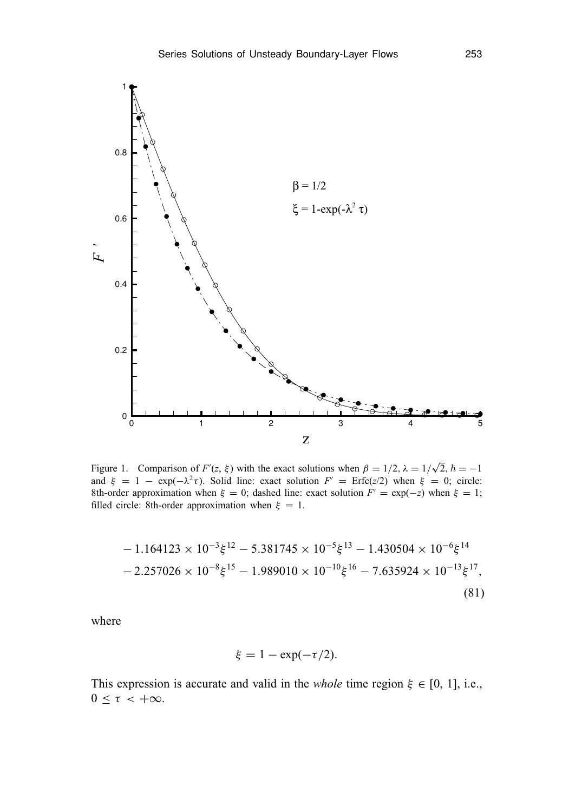

Figure 1. Comparison of  $F'(z, \xi)$  with the exact solutions when  $\beta = 1/2$ ,  $\lambda = 1/\sqrt{2}$ ,  $\hbar = -1$ and  $\xi = 1 - \exp(-\lambda^2 \tau)$ . Solid line: exact solution  $F' = \text{Erfc}(z/2)$  when  $\xi = 0$ ; circle: 8th-order approximation when  $\xi = 0$ ; dashed line: exact solution  $F' = \exp(-z)$  when  $\xi = 1$ ; filled circle: 8th-order approximation when  $\xi = 1$ .

$$
-1.164123 \times 10^{-3} \xi^{12} - 5.381745 \times 10^{-5} \xi^{13} - 1.430504 \times 10^{-6} \xi^{14} - 2.257026 \times 10^{-8} \xi^{15} - 1.989010 \times 10^{-10} \xi^{16} - 7.635924 \times 10^{-13} \xi^{17},
$$
\n(81)

where

$$
\xi = 1 - \exp(-\tau/2).
$$

This expression is accurate and valid in the *whole* time region  $\xi \in [0, 1]$ , i.e.,  $0 \leq \tau < +\infty$ .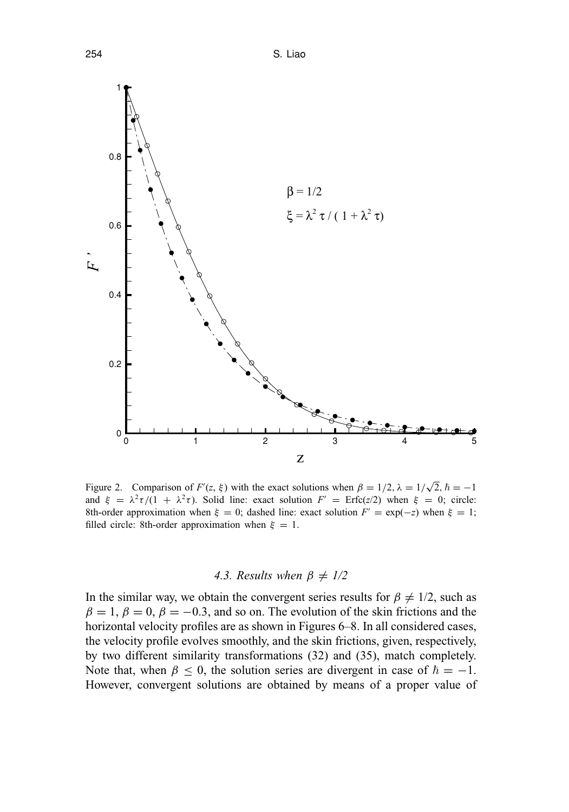

Figure 2. Comparison of  $F'(z, \xi)$  with the exact solutions when  $\beta = 1/2$ ,  $\lambda = 1/\sqrt{2}$ ,  $\hbar = -1$ and  $\xi = \lambda^2 \tau/(1 + \lambda^2 \tau)$ . Solid line: exact solution  $F' = \text{Erfc}(z/2)$  when  $\xi = 0$ ; circle: 8th-order approximation when  $\xi = 0$ ; dashed line: exact solution  $F' = \exp(-z)$  when  $\xi = 1$ ; filled circle: 8th-order approximation when  $\xi = 1$ .

## *4.3. Results when*  $\beta \neq 1/2$

In the similar way, we obtain the convergent series results for  $\beta \neq 1/2$ , such as  $\beta = 1, \beta = 0, \beta = -0.3$ , and so on. The evolution of the skin frictions and the horizontal velocity profiles are as shown in Figures 6–8. In all considered cases, the velocity profile evolves smoothly, and the skin frictions, given, respectively, by two different similarity transformations (32) and (35), match completely. Note that, when  $\beta \leq 0$ , the solution series are divergent in case of  $\hbar = -1$ . However, convergent solutions are obtained by means of a proper value of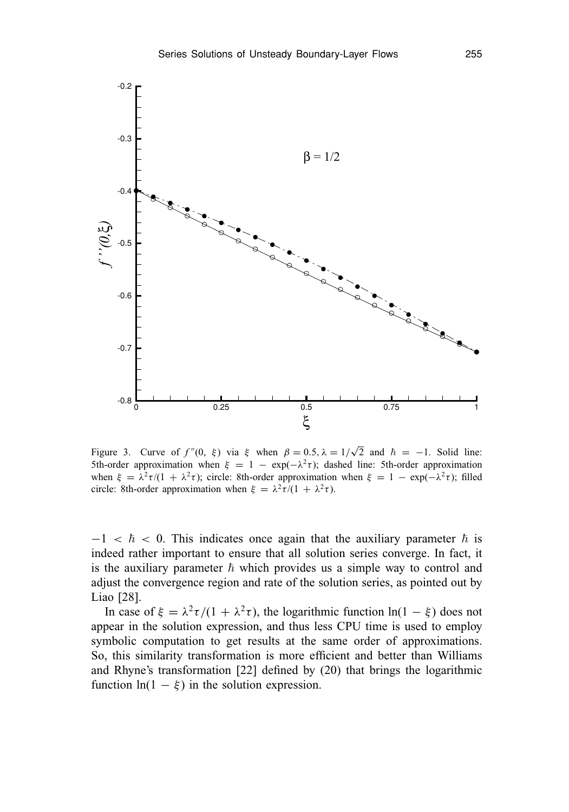

Figure 3. Curve of  $f''(0, \xi)$  via  $\xi$  when  $\beta = 0.5$ ,  $\lambda = 1/\sqrt{2}$  and  $\hbar = -1$ . Solid line: 5th-order approximation when  $\xi = 1 - \exp(-\lambda^2 \tau)$ ; dashed line: 5th-order approximation when  $\xi = \lambda^2 \tau/(1 + \lambda^2 \tau)$ ; circle: 8th-order approximation when  $\xi = 1 - \exp(-\lambda^2 \tau)$ ; filled circle: 8th-order approximation when  $\xi = \lambda^2 \tau/(1 + \lambda^2 \tau)$ .

 $-1 < \hbar < 0$ . This indicates once again that the auxiliary parameter  $\hbar$  is indeed rather important to ensure that all solution series converge. In fact, it is the auxiliary parameter  $\hbar$  which provides us a simple way to control and adjust the convergence region and rate of the solution series, as pointed out by Liao [28].

In case of  $\xi = \lambda^2 \tau/(1 + \lambda^2 \tau)$ , the logarithmic function  $\ln(1 - \xi)$  does not appear in the solution expression, and thus less CPU time is used to employ symbolic computation to get results at the same order of approximations. So, this similarity transformation is more efficient and better than Williams and Rhyne's transformation [22] defined by (20) that brings the logarithmic function  $ln(1 - \xi)$  in the solution expression.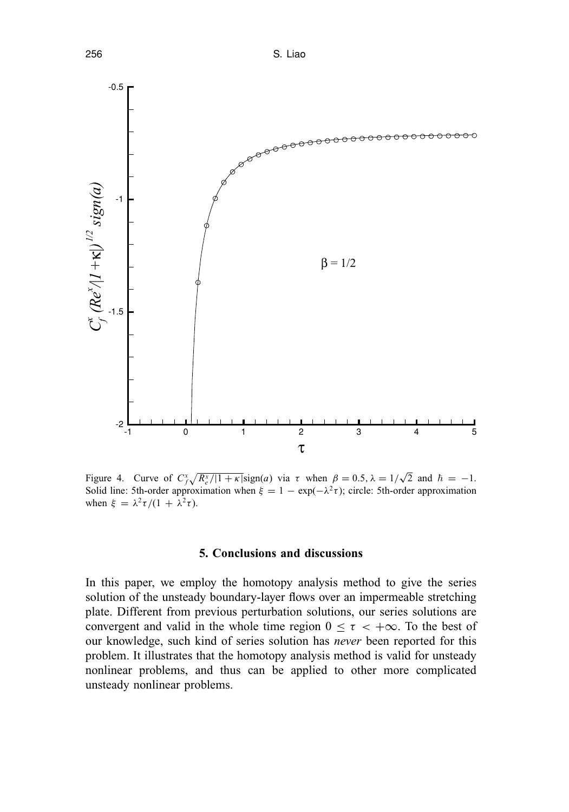

Figure 4. Curve of  $C_f^x \sqrt{R_e^x/|1 + \kappa|} \text{sign}(a)$  via  $\tau$  when  $\beta = 0.5$ ,  $\lambda = 1/\sqrt{2}$  and  $\hbar = -1$ . Solid line: 5th-order approximation when  $\xi = 1 - \exp(-\lambda^2 \tau)$ ; circle: 5th-order approximation when  $\xi = \lambda^2 \tau/(1 + \lambda^2 \tau)$ .

## **5. Conclusions and discussions**

In this paper, we employ the homotopy analysis method to give the series solution of the unsteady boundary-layer flows over an impermeable stretching plate. Different from previous perturbation solutions, our series solutions are convergent and valid in the whole time region  $0 \le \tau < +\infty$ . To the best of our knowledge, such kind of series solution has *never* been reported for this problem. It illustrates that the homotopy analysis method is valid for unsteady nonlinear problems, and thus can be applied to other more complicated unsteady nonlinear problems.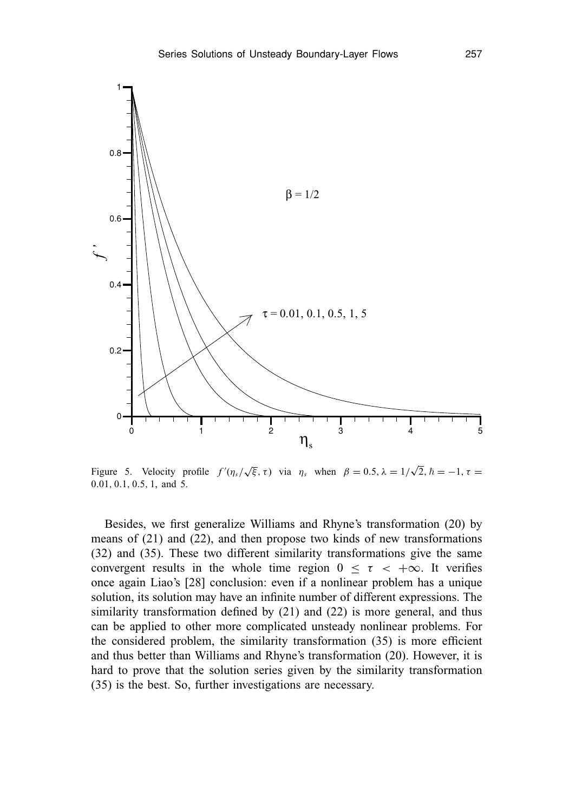

Figure 5. Velocity profile  $f'(\eta_s/\sqrt{\xi}, \tau)$  via  $\eta_s$  when  $\beta = 0.5, \lambda = 1/\sqrt{2}, \hbar = -1, \tau =$ 0.01, 0.1, 0.5, 1, and 5.

Besides, we first generalize Williams and Rhyne's transformation (20) by means of (21) and (22), and then propose two kinds of new transformations (32) and (35). These two different similarity transformations give the same convergent results in the whole time region  $0 \leq \tau < +\infty$ . It verifies once again Liao's [28] conclusion: even if a nonlinear problem has a unique solution, its solution may have an infinite number of different expressions. The similarity transformation defined by (21) and (22) is more general, and thus can be applied to other more complicated unsteady nonlinear problems. For the considered problem, the similarity transformation (35) is more efficient and thus better than Williams and Rhyne's transformation (20). However, it is hard to prove that the solution series given by the similarity transformation (35) is the best. So, further investigations are necessary.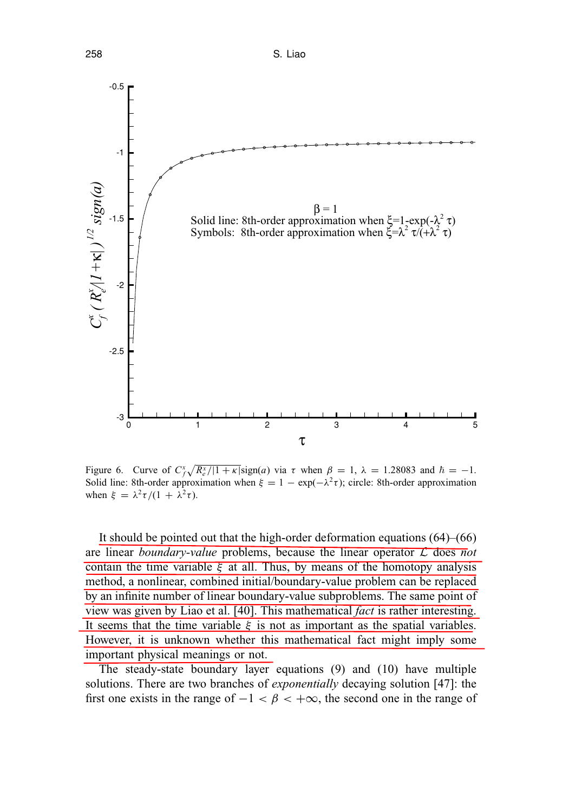

Figure 6. Curve of  $C_f^x \sqrt{R_f^x/(1 + \kappa)}$ sign(*a*) via  $\tau$  when  $\beta = 1$ ,  $\lambda = 1.28083$  and  $\hbar = -1$ . Solid line: 8th-order approximation when  $\xi = 1 - \exp(-\lambda^2 \tau)$ ; circle: 8th-order approximation when  $\xi = \lambda^2 \tau/(1 + \lambda^2 \tau)$ .

It should be pointed out that the high-order deformation equations (64)–(66) are linear *boundary-value* problems, because the linear operator L does *not* contain the time variable  $\xi$  at all. Thus, by means of the homotopy analysis method, a nonlinear, combined initial/boundary-value problem can be replaced by an infinite number of linear boundary-value subproblems. The same point of view was given by Liao et al. [40]. This mathematical *fact* is rather interesting. It seems that the time variable  $\xi$  is not as important as the spatial variables. However, it is unknown whether this mathematical fact might imply some important physical meanings or not.

The steady-state boundary layer equations (9) and (10) have multiple solutions. There are two branches of *exponentially* decaying solution [47]: the first one exists in the range of  $-1 < \beta < +\infty$ , the second one in the range of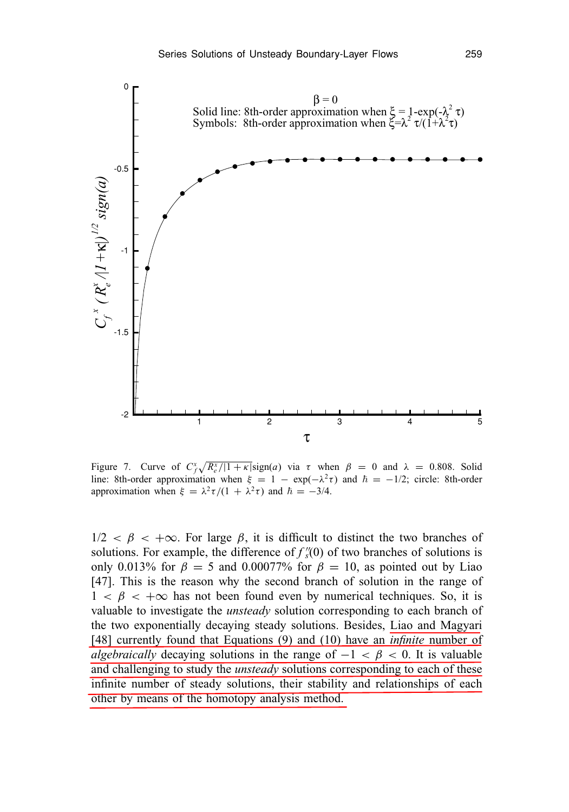

Figure 7. Curve of  $C_f^x \sqrt{R_e^x/|1+\kappa|} \text{sign}(a)$  via  $\tau$  when  $\beta = 0$  and  $\lambda = 0.808$ . Solid line: 8th-order approximation when  $\xi = 1 - \exp(-\lambda^2 \tau)$  and  $\hbar = -1/2$ ; circle: 8th-order approximation when  $\xi = \lambda^2 \tau / (1 + \lambda^2 \tau)$  and  $\hbar = -3/4$ .

 $1/2 < \beta < +\infty$ . For large  $\beta$ , it is difficult to distinct the two branches of solutions. For example, the difference of  $f''_s(0)$  of two branches of solutions is only 0.013% for  $\beta = 5$  and 0.00077% for  $\beta = 10$ , as pointed out by Liao [47]. This is the reason why the second branch of solution in the range of  $1 < \beta < +\infty$  has not been found even by numerical techniques. So, it is valuable to investigate the *unsteady* solution corresponding to each branch of the two exponentially decaying steady solutions. Besides, Liao and Magyari [48] currently found that Equations (9) and (10) have an *infinite* number of *algebraically* decaying solutions in the range of  $-1 < \beta < 0$ . It is valuable and challenging to study the *unsteady* solutions corresponding to each of these infinite number of steady solutions, their stability and relationships of each other by means of the homotopy analysis method.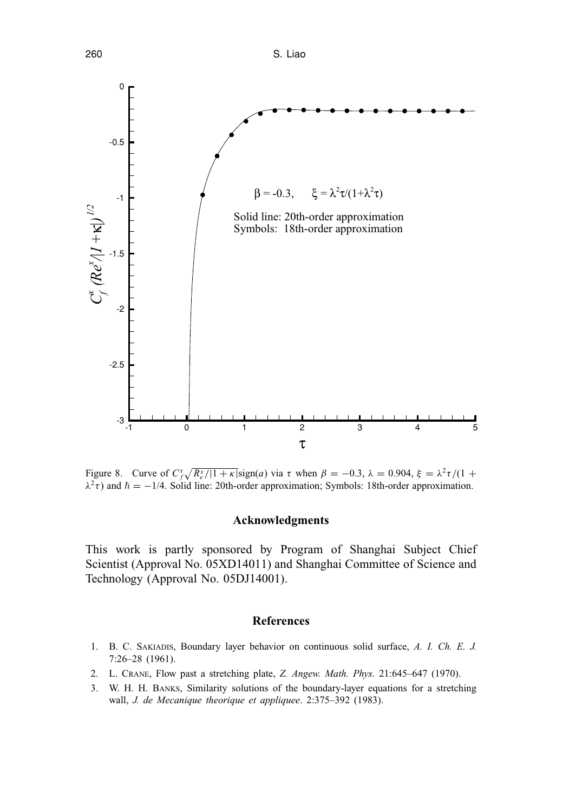

Figure 8. Curve of  $C_f^x \sqrt{R_e^x/|1+\kappa|} \text{sign}(a)$  via  $\tau$  when  $\beta = -0.3$ ,  $\lambda = 0.904$ ,  $\xi = \frac{\lambda^2 \tau}{(1+\kappa)^2}$  $\lambda^2 \tau$ ) and  $\hbar = -1/4$ . Solid line: 20th-order approximation; Symbols: 18th-order approximation.

#### **Acknowledgments**

This work is partly sponsored by Program of Shanghai Subject Chief Scientist (Approval No. 05XD14011) and Shanghai Committee of Science and Technology (Approval No. 05DJ14001).

#### **References**

- 1. B. C. SAKIADIS, Boundary layer behavior on continuous solid surface, *A. I. Ch. E. J.* 7:26–28 (1961).
- 2. L. CRANE, Flow past a stretching plate, *Z. Angew. Math. Phys.* 21:645–647 (1970).
- 3. W. H. H. BANKS, Similarity solutions of the boundary-layer equations for a stretching wall, *J. de Mecanique theorique et appliquee*. 2:375–392 (1983).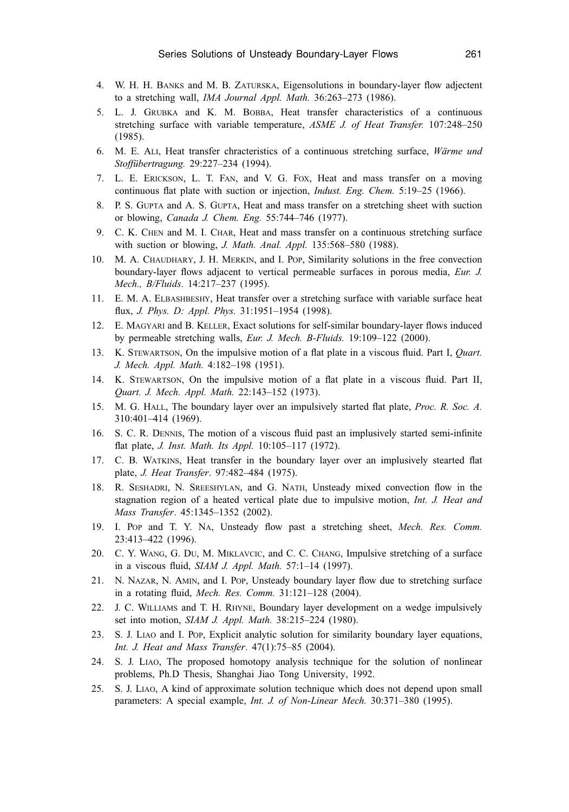- 4. W. H. H. BANKS and M. B. ZATURSKA, Eigensolutions in boundary-layer flow adjectent to a stretching wall, *IMA Journal Appl. Math.* 36:263–273 (1986).
- 5. L. J. GRUBKA and K. M. BOBBA, Heat transfer characteristics of a continuous stretching surface with variable temperature, *ASME J. of Heat Transfer.* 107:248–250 (1985).
- 6. M. E. ALI, Heat transfer chracteristics of a continuous stretching surface, *W¨arme und Stoff¨ubertragung.* 29:227–234 (1994).
- 7. L. E. ERICKSON, L. T. FAN, and V. G. FOX, Heat and mass transfer on a moving continuous flat plate with suction or injection, *Indust. Eng. Chem.* 5:19–25 (1966).
- 8. P. S. GUPTA and A. S. GUPTA, Heat and mass transfer on a stretching sheet with suction or blowing, *Canada J. Chem. Eng.* 55:744–746 (1977).
- 9. C. K. CHEN and M. I. CHAR, Heat and mass transfer on a continuous stretching surface with suction or blowing, *J. Math. Anal. Appl.* 135:568–580 (1988).
- 10. M. A. CHAUDHARY, J. H. MERKIN, and I. POP, Similarity solutions in the free convection boundary-layer flows adjacent to vertical permeable surfaces in porous media, *Eur. J. Mech., B/Fluids*. 14:217–237 (1995).
- 11. E. M. A. ELBASHBESHY, Heat transfer over a stretching surface with variable surface heat flux, *J. Phys. D: Appl. Phys.* 31:1951–1954 (1998).
- 12. E. MAGYARI and B. KELLER, Exact solutions for self-similar boundary-layer flows induced by permeable stretching walls, *Eur. J. Mech. B-Fluids.* 19:109–122 (2000).
- 13. K. STEWARTSON, On the impulsive motion of a flat plate in a viscous fluid. Part I, *Quart. J. Mech. Appl. Math.* 4:182–198 (1951).
- 14. K. STEWARTSON, On the impulsive motion of a flat plate in a viscous fluid. Part II, *Quart. J. Mech. Appl. Math.* 22:143–152 (1973).
- 15. M. G. HALL, The boundary layer over an impulsively started flat plate, *Proc. R. Soc. A.* 310:401–414 (1969).
- 16. S. C. R. DENNIS, The motion of a viscous fluid past an implusively started semi-infinite flat plate, *J. Inst. Math. Its Appl.* 10:105–117 (1972).
- 17. C. B. WATKINS, Heat transfer in the boundary layer over an implusively stearted flat plate, *J. Heat Transfer*. 97:482–484 (1975).
- 18. R. SESHADRI, N. SREESHYLAN, and G. NATH, Unsteady mixed convection flow in the stagnation region of a heated vertical plate due to impulsive motion, *Int. J. Heat and Mass Transfer*. 45:1345–1352 (2002).
- 19. I. POP and T. Y. NA, Unsteady flow past a stretching sheet, *Mech. Res. Comm.* 23:413–422 (1996).
- 20. C. Y. WANG, G. DU, M. MIKLAVCIC, and C. C. CHANG, Impulsive stretching of a surface in a viscous fluid, *SIAM J. Appl. Math.* 57:1–14 (1997).
- 21. N. NAZAR, N. AMIN, and I. POP, Unsteady boundary layer flow due to stretching surface in a rotating fluid, *Mech. Res. Comm.* 31:121–128 (2004).
- 22. J. C. WILLIAMS and T. H. RHYNE, Boundary layer development on a wedge impulsively set into motion, *SIAM J. Appl. Math.* 38:215–224 (1980).
- 23. S. J. LIAO and I. POP, Explicit analytic solution for similarity boundary layer equations, *Int. J. Heat and Mass Transfer*. 47(1):75–85 (2004).
- 24. S. J. LIAO, The proposed homotopy analysis technique for the solution of nonlinear problems, Ph.D Thesis, Shanghai Jiao Tong University, 1992.
- 25. S. J. LIAO, A kind of approximate solution technique which does not depend upon small parameters: A special example, *Int. J. of Non-Linear Mech.* 30:371–380 (1995).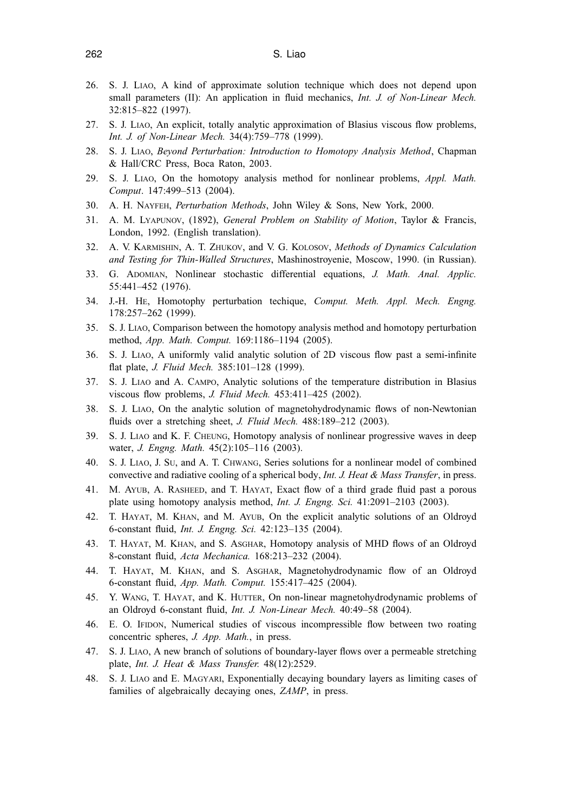- 26. S. J. LIAO, A kind of approximate solution technique which does not depend upon small parameters (II): An application in fluid mechanics, *Int. J. of Non-Linear Mech.* 32:815–822 (1997).
- 27. S. J. LIAO, An explicit, totally analytic approximation of Blasius viscous flow problems, *Int. J. of Non-Linear Mech.* 34(4):759–778 (1999).
- 28. S. J. LIAO, *Beyond Perturbation: Introduction to Homotopy Analysis Method*, Chapman & Hall/CRC Press, Boca Raton, 2003.
- 29. S. J. LIAO, On the homotopy analysis method for nonlinear problems, *Appl. Math. Comput*. 147:499–513 (2004).
- 30. A. H. NAYFEH, *Perturbation Methods*, John Wiley & Sons, New York, 2000.
- 31. A. M. LYAPUNOV, (1892), *General Problem on Stability of Motion*, Taylor & Francis, London, 1992. (English translation).
- 32. A. V. KARMISHIN, A. T. ZHUKOV, and V. G. KOLOSOV, *Methods of Dynamics Calculation and Testing for Thin-Walled Structures*, Mashinostroyenie, Moscow, 1990. (in Russian).
- 33. G. ADOMIAN, Nonlinear stochastic differential equations, *J. Math. Anal. Applic.* 55:441–452 (1976).
- 34. J.-H. HE, Homotophy perturbation techique, *Comput. Meth. Appl. Mech. Engng.* 178:257–262 (1999).
- 35. S. J. LIAO, Comparison between the homotopy analysis method and homotopy perturbation method, *App. Math. Comput.* 169:1186–1194 (2005).
- 36. S. J. LIAO, A uniformly valid analytic solution of 2D viscous flow past a semi-infinite flat plate, *J. Fluid Mech.* 385:101–128 (1999).
- 37. S. J. LIAO and A. CAMPO, Analytic solutions of the temperature distribution in Blasius viscous flow problems, *J. Fluid Mech.* 453:411–425 (2002).
- 38. S. J. LIAO, On the analytic solution of magnetohydrodynamic flows of non-Newtonian fluids over a stretching sheet, *J. Fluid Mech.* 488:189–212 (2003).
- 39. S. J. LIAO and K. F. CHEUNG, Homotopy analysis of nonlinear progressive waves in deep water, *J. Engng. Math.* 45(2):105–116 (2003).
- 40. S. J. LIAO, J. SU, and A. T. CHWANG, Series solutions for a nonlinear model of combined convective and radiative cooling of a spherical body, *Int. J. Heat & Mass Transfer*, in press.
- 41. M. AYUB, A. RASHEED, and T. HAYAT, Exact flow of a third grade fluid past a porous plate using homotopy analysis method, *Int. J. Engng. Sci.* 41:2091–2103 (2003).
- 42. T. HAYAT, M. KHAN, and M. AYUB, On the explicit analytic solutions of an Oldroyd 6-constant fluid, *Int. J. Engng. Sci.* 42:123–135 (2004).
- 43. T. HAYAT, M. KHAN, and S. ASGHAR, Homotopy analysis of MHD flows of an Oldroyd 8-constant fluid, *Acta Mechanica.* 168:213–232 (2004).
- 44. T. HAYAT, M. KHAN, and S. ASGHAR, Magnetohydrodynamic flow of an Oldroyd 6-constant fluid, *App. Math. Comput.* 155:417–425 (2004).
- 45. Y. WANG, T. HAYAT, and K. HUTTER, On non-linear magnetohydrodynamic problems of an Oldroyd 6-constant fluid, *Int. J. Non-Linear Mech.* 40:49–58 (2004).
- 46. E. O. IFIDON, Numerical studies of viscous incompressible flow between two roating concentric spheres, *J. App. Math.*, in press.
- 47. S. J. LIAO, A new branch of solutions of boundary-layer flows over a permeable stretching plate, *Int. J. Heat & Mass Transfer.* 48(12):2529.
- 48. S. J. LIAO and E. MAGYARI, Exponentially decaying boundary layers as limiting cases of families of algebraically decaying ones, *ZAMP*, in press.